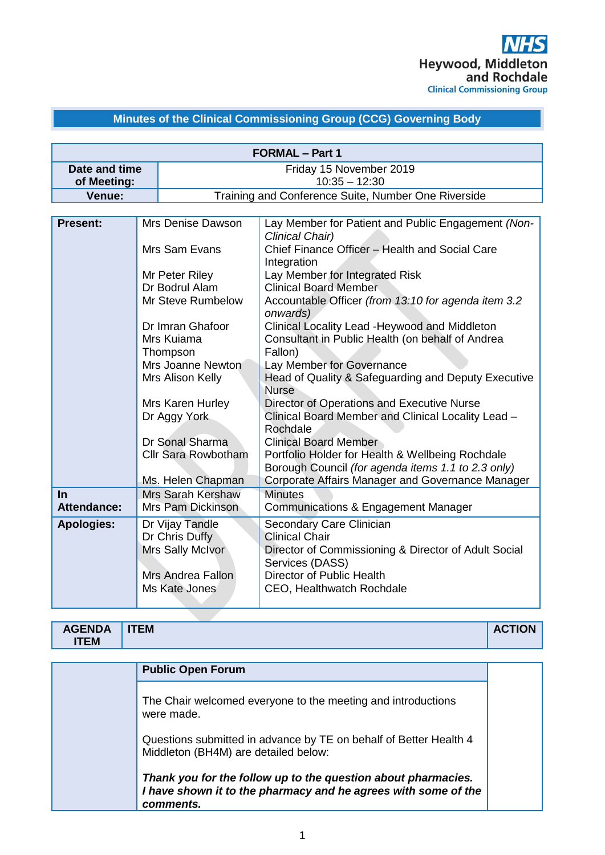# **Minutes of the Clinical Commissioning Group (CCG) Governing Body**

| <b>FORMAL - Part 1</b>   |                                                                                                                                                                                                                                                                  |                                                                                                                                           |                                                                                                                                                                                        |  |  |
|--------------------------|------------------------------------------------------------------------------------------------------------------------------------------------------------------------------------------------------------------------------------------------------------------|-------------------------------------------------------------------------------------------------------------------------------------------|----------------------------------------------------------------------------------------------------------------------------------------------------------------------------------------|--|--|
| Date and time            |                                                                                                                                                                                                                                                                  | Friday 15 November 2019                                                                                                                   |                                                                                                                                                                                        |  |  |
| of Meeting:              |                                                                                                                                                                                                                                                                  | $10:35 - 12:30$                                                                                                                           |                                                                                                                                                                                        |  |  |
| Venue:                   |                                                                                                                                                                                                                                                                  |                                                                                                                                           | Training and Conference Suite, Number One Riverside                                                                                                                                    |  |  |
|                          |                                                                                                                                                                                                                                                                  |                                                                                                                                           |                                                                                                                                                                                        |  |  |
| <b>Present:</b>          | Mrs Denise Dawson                                                                                                                                                                                                                                                |                                                                                                                                           | Lay Member for Patient and Public Engagement (Non-<br>Clinical Chair)                                                                                                                  |  |  |
|                          |                                                                                                                                                                                                                                                                  | Mrs Sam Evans                                                                                                                             | Chief Finance Officer - Health and Social Care<br>Integration                                                                                                                          |  |  |
|                          |                                                                                                                                                                                                                                                                  | Mr Peter Riley<br>Dr Bodrul Alam                                                                                                          | Lay Member for Integrated Risk<br><b>Clinical Board Member</b>                                                                                                                         |  |  |
|                          |                                                                                                                                                                                                                                                                  | Mr Steve Rumbelow                                                                                                                         | Accountable Officer (from 13:10 for agenda item 3.2<br>onwards)                                                                                                                        |  |  |
|                          |                                                                                                                                                                                                                                                                  | Dr Imran Ghafoor<br>Mrs Kuiama<br>Thompson                                                                                                | Clinical Locality Lead - Heywood and Middleton<br>Consultant in Public Health (on behalf of Andrea<br>Fallon)                                                                          |  |  |
|                          |                                                                                                                                                                                                                                                                  | Mrs Joanne Newton<br>Lay Member for Governance<br>Mrs Alison Kelly<br>Head of Quality & Safeguarding and Deputy Executive<br><b>Nurse</b> |                                                                                                                                                                                        |  |  |
|                          |                                                                                                                                                                                                                                                                  | Mrs Karen Hurley<br>Dr Aggy York                                                                                                          | Director of Operations and Executive Nurse<br>Clinical Board Member and Clinical Locality Lead -<br>Rochdale                                                                           |  |  |
|                          | Dr Sonal Sharma<br><b>Clinical Board Member</b><br><b>Cllr Sara Rowbotham</b><br>Portfolio Holder for Health & Wellbeing Rochdale<br>Borough Council (for agenda items 1.1 to 2.3 only)<br>Corporate Affairs Manager and Governance Manager<br>Ms. Helen Chapman |                                                                                                                                           |                                                                                                                                                                                        |  |  |
| <b>In</b><br>Attendance: |                                                                                                                                                                                                                                                                  | <b>Mrs Sarah Kershaw</b><br>Mrs Pam Dickinson                                                                                             | <b>Minutes</b><br>Communications & Engagement Manager                                                                                                                                  |  |  |
| <b>Apologies:</b>        |                                                                                                                                                                                                                                                                  | Dr Vijay Tandle<br>Dr Chris Duffy<br>Mrs Sally McIvor<br>Mrs Andrea Fallon<br>Ms Kate Jones                                               | Secondary Care Clinician<br><b>Clinical Chair</b><br>Director of Commissioning & Director of Adult Social<br>Services (DASS)<br>Director of Public Health<br>CEO, Healthwatch Rochdale |  |  |

| <b>AGENDA</b><br><b>ITEM</b><br>nv<br><b>TEM</b> |
|--------------------------------------------------|
|                                                  |

| <b>Public Open Forum</b>                                                                                                                     |
|----------------------------------------------------------------------------------------------------------------------------------------------|
| The Chair welcomed everyone to the meeting and introductions<br>were made.                                                                   |
| Questions submitted in advance by TE on behalf of Better Health 4<br>Middleton (BH4M) are detailed below:                                    |
| Thank you for the follow up to the question about pharmacies.<br>I have shown it to the pharmacy and he agrees with some of the<br>comments. |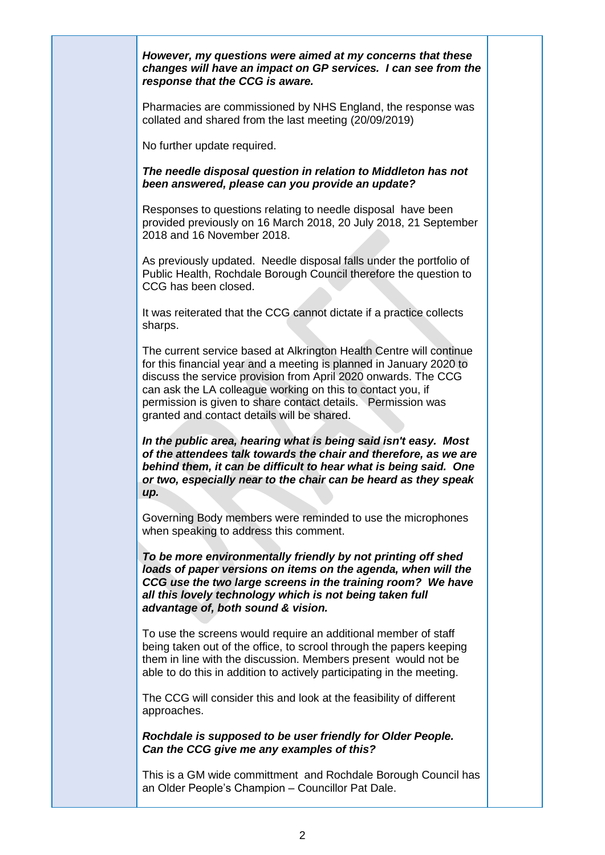*However, my questions were aimed at my concerns that these changes will have an impact on GP services. I can see from the response that the CCG is aware.*

Pharmacies are commissioned by NHS England, the response was collated and shared from the last meeting (20/09/2019)

No further update required.

*The needle disposal question in relation to Middleton has not been answered, please can you provide an update?*

Responses to questions relating to needle disposal have been provided previously on 16 March 2018, 20 July 2018, 21 September 2018 and 16 November 2018.

As previously updated. Needle disposal falls under the portfolio of Public Health, Rochdale Borough Council therefore the question to CCG has been closed.

It was reiterated that the CCG cannot dictate if a practice collects sharps.

The current service based at Alkrington Health Centre will continue for this financial year and a meeting is planned in January 2020 to discuss the service provision from April 2020 onwards. The CCG can ask the LA colleague working on this to contact you, if permission is given to share contact details. Permission was granted and contact details will be shared.

*In the public area, hearing what is being said isn't easy. Most of the attendees talk towards the chair and therefore, as we are behind them, it can be difficult to hear what is being said. One or two, especially near to the chair can be heard as they speak up.*

Governing Body members were reminded to use the microphones when speaking to address this comment.

*To be more environmentally friendly by not printing off shed loads of paper versions on items on the agenda, when will the CCG use the two large screens in the training room? We have all this lovely technology which is not being taken full advantage of, both sound & vision.*

To use the screens would require an additional member of staff being taken out of the office, to scrool through the papers keeping them in line with the discussion. Members present would not be able to do this in addition to actively participating in the meeting.

The CCG will consider this and look at the feasibility of different approaches.

*Rochdale is supposed to be user friendly for Older People. Can the CCG give me any examples of this?*

This is a GM wide committment and Rochdale Borough Council has an Older People's Champion – Councillor Pat Dale.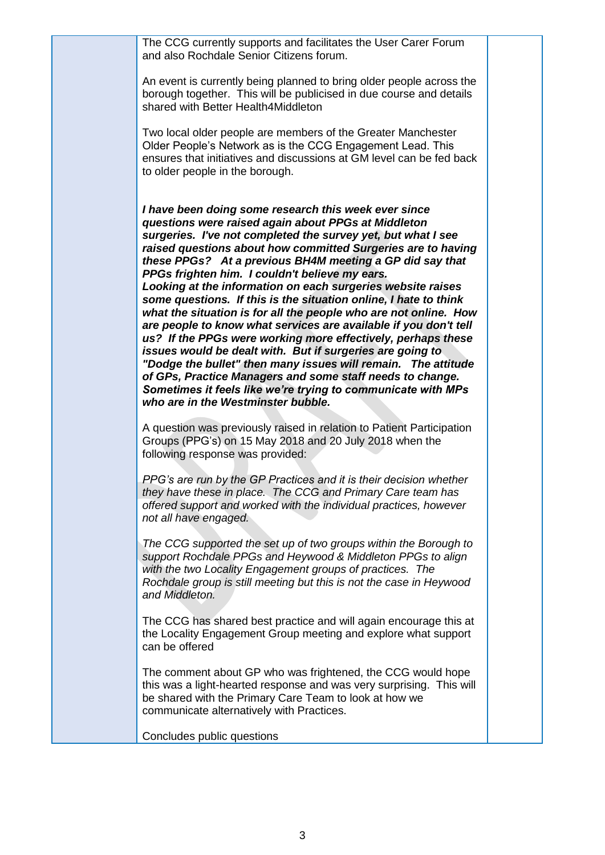The CCG currently supports and facilitates the User Carer Forum and also Rochdale Senior Citizens forum.

An event is currently being planned to bring older people across the borough together. This will be publicised in due course and details shared with Better Health4Middleton

Two local older people are members of the Greater Manchester Older People's Network as is the CCG Engagement Lead. This ensures that initiatives and discussions at GM level can be fed back to older people in the borough.

*I have been doing some research this week ever since questions were raised again about PPGs at Middleton surgeries. I've not completed the survey yet, but what I see raised questions about how committed Surgeries are to having these PPGs? At a previous BH4M meeting a GP did say that PPGs frighten him. I couldn't believe my ears. Looking at the information on each surgeries website raises some questions. If this is the situation online, I hate to think what the situation is for all the people who are not online. How are people to know what services are available if you don't tell us? If the PPGs were working more effectively, perhaps these issues would be dealt with. But if surgeries are going to "Dodge the bullet" then many issues will remain. The attitude of GPs, Practice Managers and some staff needs to change. Sometimes it feels like we're trying to communicate with MPs who are in the Westminster bubble.*

A question was previously raised in relation to Patient Participation Groups (PPG's) on 15 May 2018 and 20 July 2018 when the following response was provided:

*PPG's are run by the GP Practices and it is their decision whether they have these in place. The CCG and Primary Care team has offered support and worked with the individual practices, however not all have engaged.* 

*The CCG supported the set up of two groups within the Borough to support Rochdale PPGs and Heywood & Middleton PPGs to align with the two Locality Engagement groups of practices. The Rochdale group is still meeting but this is not the case in Heywood and Middleton.* 

The CCG has shared best practice and will again encourage this at the Locality Engagement Group meeting and explore what support can be offered

The comment about GP who was frightened, the CCG would hope this was a light-hearted response and was very surprising. This will be shared with the Primary Care Team to look at how we communicate alternatively with Practices.

Concludes public questions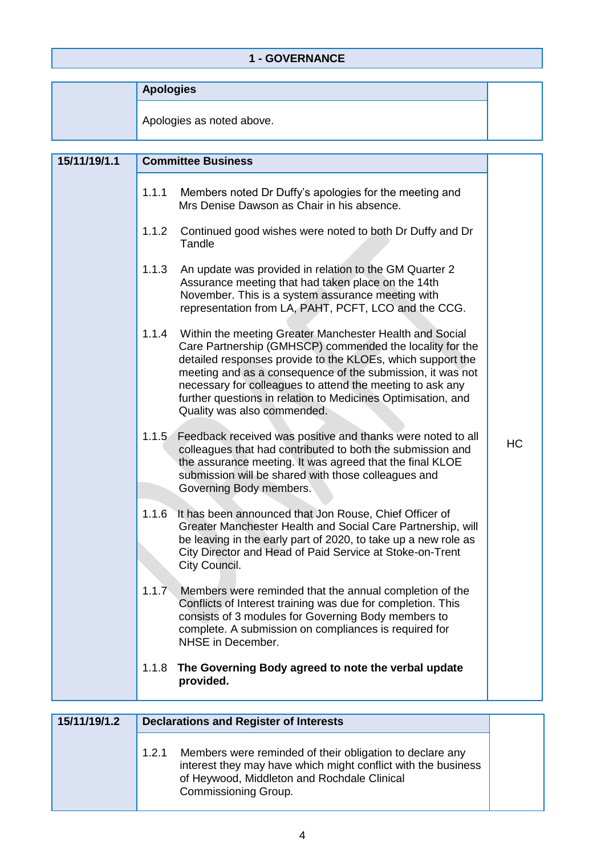## **1 - GOVERNANCE**

| <b>Apologies</b> |  |
|------------------|--|
|------------------|--|

Apologies as noted above.

| 15/11/19/1.1 |       | <b>Committee Business</b>                                                                                                                                                                                                                                                                                                                                                                                   |    |
|--------------|-------|-------------------------------------------------------------------------------------------------------------------------------------------------------------------------------------------------------------------------------------------------------------------------------------------------------------------------------------------------------------------------------------------------------------|----|
|              | 1.1.1 | Members noted Dr Duffy's apologies for the meeting and<br>Mrs Denise Dawson as Chair in his absence.                                                                                                                                                                                                                                                                                                        |    |
|              | 1.1.2 | Continued good wishes were noted to both Dr Duffy and Dr<br>Tandle                                                                                                                                                                                                                                                                                                                                          |    |
|              | 1.1.3 | An update was provided in relation to the GM Quarter 2<br>Assurance meeting that had taken place on the 14th<br>November. This is a system assurance meeting with<br>representation from LA, PAHT, PCFT, LCO and the CCG.                                                                                                                                                                                   |    |
|              | 1.1.4 | Within the meeting Greater Manchester Health and Social<br>Care Partnership (GMHSCP) commended the locality for the<br>detailed responses provide to the KLOEs, which support the<br>meeting and as a consequence of the submission, it was not<br>necessary for colleagues to attend the meeting to ask any<br>further questions in relation to Medicines Optimisation, and<br>Quality was also commended. |    |
|              | 1.1.5 | Feedback received was positive and thanks were noted to all<br>colleagues that had contributed to both the submission and<br>the assurance meeting. It was agreed that the final KLOE<br>submission will be shared with those colleagues and<br>Governing Body members.                                                                                                                                     | HC |
|              | 1.1.6 | It has been announced that Jon Rouse, Chief Officer of<br>Greater Manchester Health and Social Care Partnership, will<br>be leaving in the early part of 2020, to take up a new role as<br>City Director and Head of Paid Service at Stoke-on-Trent<br>City Council.                                                                                                                                        |    |
|              | 1.1.7 | Members were reminded that the annual completion of the<br>Conflicts of Interest training was due for completion. This<br>consists of 3 modules for Governing Body members to<br>complete. A submission on compliances is required for<br>NHSE in December.                                                                                                                                                 |    |
|              | 1.1.8 | The Governing Body agreed to note the verbal update<br>provided.                                                                                                                                                                                                                                                                                                                                            |    |

| 15/11/19/1.2 | <b>Declarations and Register of Interests</b>                                                                                                                                                             |  |  |
|--------------|-----------------------------------------------------------------------------------------------------------------------------------------------------------------------------------------------------------|--|--|
|              | Members were reminded of their obligation to declare any<br>1.2.1<br>interest they may have which might conflict with the business<br>of Heywood, Middleton and Rochdale Clinical<br>Commissioning Group. |  |  |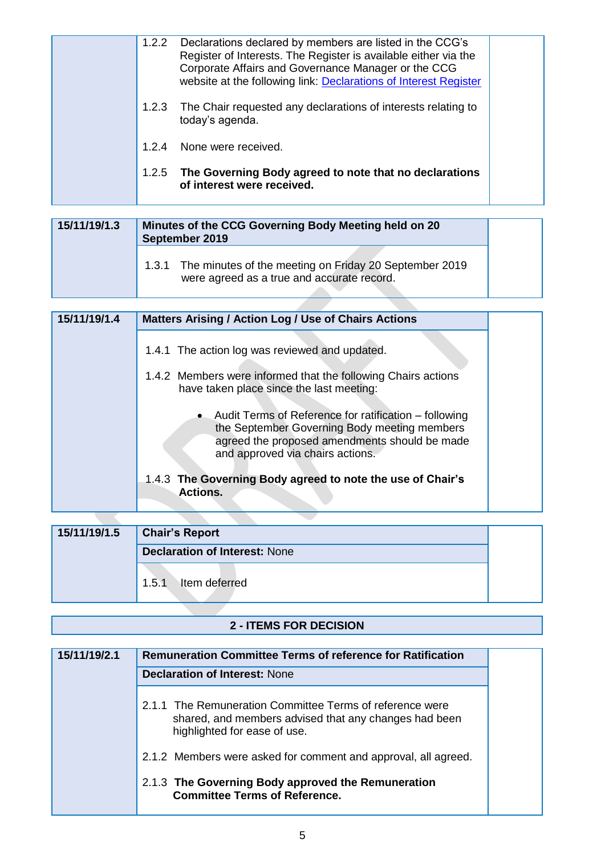| 1.2.2 | Declarations declared by members are listed in the CCG's<br>Register of Interests. The Register is available either via the<br>Corporate Affairs and Governance Manager or the CCG<br>website at the following link: Declarations of Interest Register |  |
|-------|--------------------------------------------------------------------------------------------------------------------------------------------------------------------------------------------------------------------------------------------------------|--|
|       | 1.2.3 The Chair requested any declarations of interests relating to<br>today's agenda.                                                                                                                                                                 |  |
| 1.24  | None were received.                                                                                                                                                                                                                                    |  |
|       | 1.2.5 The Governing Body agreed to note that no declarations<br>of interest were received.                                                                                                                                                             |  |

| 15/11/19/1.3 | Minutes of the CCG Governing Body Meeting held on 20<br>September 2019                                     |
|--------------|------------------------------------------------------------------------------------------------------------|
|              | 1.3.1 The minutes of the meeting on Friday 20 September 2019<br>were agreed as a true and accurate record. |

| 15/11/19/1.4 | <b>Matters Arising / Action Log / Use of Chairs Actions</b>                                                                                                                                  |
|--------------|----------------------------------------------------------------------------------------------------------------------------------------------------------------------------------------------|
|              | 1.4.1 The action log was reviewed and updated.                                                                                                                                               |
|              | 1.4.2 Members were informed that the following Chairs actions<br>have taken place since the last meeting:                                                                                    |
|              | • Audit Terms of Reference for ratification – following<br>the September Governing Body meeting members<br>agreed the proposed amendments should be made<br>and approved via chairs actions. |
|              | 1.4.3 The Governing Body agreed to note the use of Chair's<br><b>Actions.</b>                                                                                                                |

| 15/11/19/1.5 | <b>Chair's Report</b>                |  |
|--------------|--------------------------------------|--|
|              | <b>Declaration of Interest: None</b> |  |
|              | Item deferred<br>1.5.1               |  |

## **2 - ITEMS FOR DECISION**

| 15/11/19/2.1 | <b>Remuneration Committee Terms of reference for Ratification</b>                                                                                 |
|--------------|---------------------------------------------------------------------------------------------------------------------------------------------------|
|              | <b>Declaration of Interest: None</b>                                                                                                              |
|              | 2.1.1 The Remuneration Committee Terms of reference were<br>shared, and members advised that any changes had been<br>highlighted for ease of use. |
|              | 2.1.2 Members were asked for comment and approval, all agreed.                                                                                    |
|              | 2.1.3 The Governing Body approved the Remuneration<br><b>Committee Terms of Reference.</b>                                                        |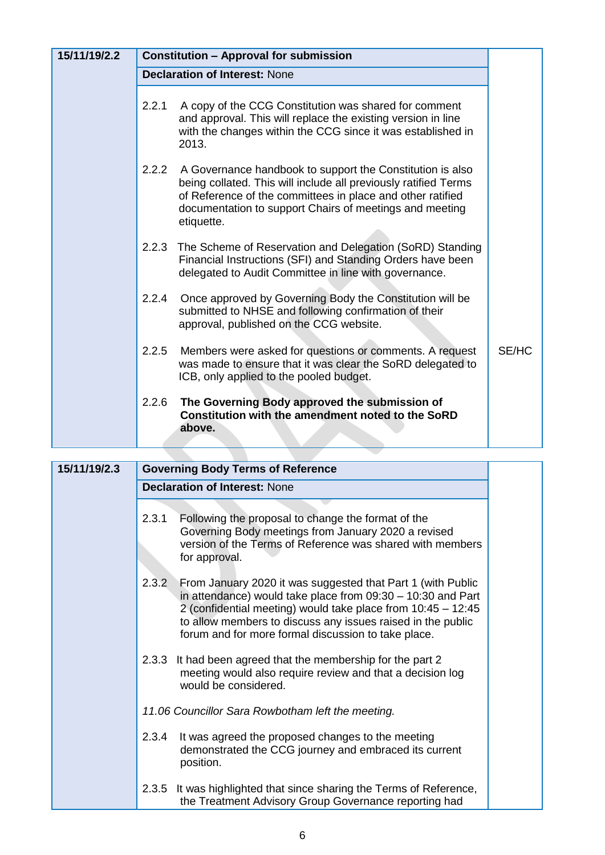| 15/11/19/2.2 |       | <b>Constitution - Approval for submission</b>                                                                                                                                                                                                                       |       |
|--------------|-------|---------------------------------------------------------------------------------------------------------------------------------------------------------------------------------------------------------------------------------------------------------------------|-------|
|              |       | <b>Declaration of Interest: None</b>                                                                                                                                                                                                                                |       |
|              | 2.2.1 | A copy of the CCG Constitution was shared for comment<br>and approval. This will replace the existing version in line<br>with the changes within the CCG since it was established in<br>2013.                                                                       |       |
|              | 2.2.2 | A Governance handbook to support the Constitution is also<br>being collated. This will include all previously ratified Terms<br>of Reference of the committees in place and other ratified<br>documentation to support Chairs of meetings and meeting<br>etiquette. |       |
|              | 2.2.3 | The Scheme of Reservation and Delegation (SoRD) Standing<br>Financial Instructions (SFI) and Standing Orders have been<br>delegated to Audit Committee in line with governance.                                                                                     |       |
|              | 2.2.4 | Once approved by Governing Body the Constitution will be<br>submitted to NHSE and following confirmation of their<br>approval, published on the CCG website.                                                                                                        |       |
|              | 2.2.5 | Members were asked for questions or comments. A request<br>was made to ensure that it was clear the SoRD delegated to<br>ICB, only applied to the pooled budget.                                                                                                    | SE/HC |
|              | 2.2.6 | The Governing Body approved the submission of<br>Constitution with the amendment noted to the SoRD<br>above.                                                                                                                                                        |       |

| 15/11/19/2.3 | <b>Governing Body Terms of Reference</b>                                                                                                                                                                                                                                                                                  |
|--------------|---------------------------------------------------------------------------------------------------------------------------------------------------------------------------------------------------------------------------------------------------------------------------------------------------------------------------|
|              | <b>Declaration of Interest: None</b>                                                                                                                                                                                                                                                                                      |
|              | Following the proposal to change the format of the<br>2.3.1<br>Governing Body meetings from January 2020 a revised<br>version of the Terms of Reference was shared with members<br>for approval.                                                                                                                          |
|              | 2.3.2<br>From January 2020 it was suggested that Part 1 (with Public<br>in attendance) would take place from 09:30 - 10:30 and Part<br>2 (confidential meeting) would take place from 10:45 - 12:45<br>to allow members to discuss any issues raised in the public<br>forum and for more formal discussion to take place. |
|              | 2.3.3 It had been agreed that the membership for the part 2<br>meeting would also require review and that a decision log<br>would be considered.                                                                                                                                                                          |
|              | 11.06 Councillor Sara Rowbotham left the meeting.                                                                                                                                                                                                                                                                         |
|              | It was agreed the proposed changes to the meeting<br>2.3.4<br>demonstrated the CCG journey and embraced its current<br>position.                                                                                                                                                                                          |
|              | It was highlighted that since sharing the Terms of Reference,<br>2.3.5<br>the Treatment Advisory Group Governance reporting had                                                                                                                                                                                           |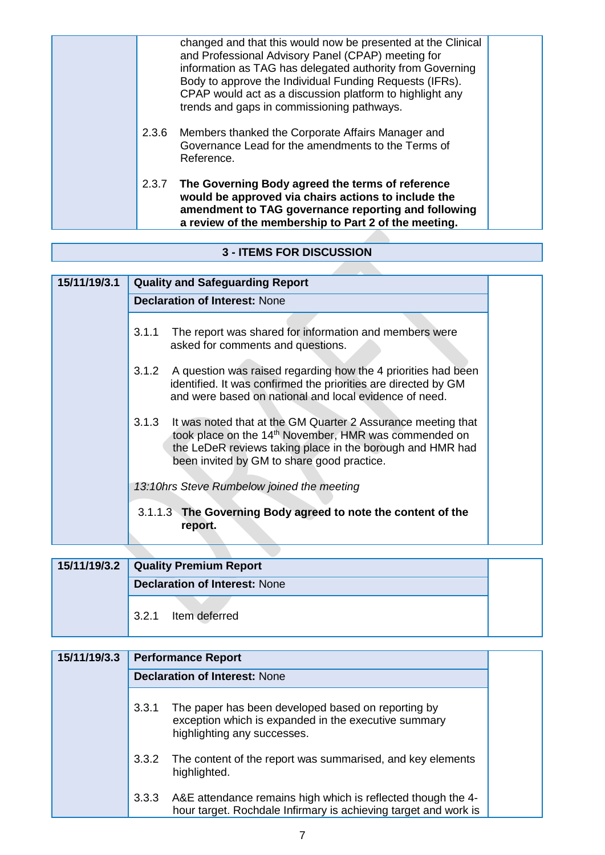|  | changed and that this would now be presented at the Clinical<br>and Professional Advisory Panel (CPAP) meeting for<br>information as TAG has delegated authority from Governing<br>Body to approve the Individual Funding Requests (IFRs).<br>CPAP would act as a discussion platform to highlight any<br>trends and gaps in commissioning pathways. |  |
|--|------------------------------------------------------------------------------------------------------------------------------------------------------------------------------------------------------------------------------------------------------------------------------------------------------------------------------------------------------|--|
|  | 2.3.6 Members thanked the Corporate Affairs Manager and<br>Governance Lead for the amendments to the Terms of<br>Reference.                                                                                                                                                                                                                          |  |
|  | 2.3.7 The Governing Body agreed the terms of reference<br>would be approved via chairs actions to include the<br>amendment to TAG governance reporting and following<br>a review of the membership to Part 2 of the meeting.                                                                                                                         |  |

### **3 - ITEMS FOR DISCUSSION**

| 15/11/19/3.1 | <b>Quality and Safeguarding Report</b>                                                                                                                                                                                                                |
|--------------|-------------------------------------------------------------------------------------------------------------------------------------------------------------------------------------------------------------------------------------------------------|
|              | <b>Declaration of Interest: None</b>                                                                                                                                                                                                                  |
|              | The report was shared for information and members were<br>3.1.1<br>asked for comments and questions.                                                                                                                                                  |
|              | A question was raised regarding how the 4 priorities had been<br>3.1.2<br>identified. It was confirmed the priorities are directed by GM<br>and were based on national and local evidence of need.                                                    |
|              | 3.1.3<br>It was noted that at the GM Quarter 2 Assurance meeting that<br>took place on the 14 <sup>th</sup> November, HMR was commended on<br>the LeDeR reviews taking place in the borough and HMR had<br>been invited by GM to share good practice. |
|              | 13:10hrs Steve Rumbelow joined the meeting                                                                                                                                                                                                            |
|              | 3.1.1.3 The Governing Body agreed to note the content of the<br>report.                                                                                                                                                                               |

| 15/11/19/3.2 Quality Premium Report  |  |  |
|--------------------------------------|--|--|
| <b>Declaration of Interest: None</b> |  |  |
| Item deferred<br>3.2.1               |  |  |

| 15/11/19/3.3 | <b>Performance Report</b>            |                                                                                                                                           |  |
|--------------|--------------------------------------|-------------------------------------------------------------------------------------------------------------------------------------------|--|
|              | <b>Declaration of Interest: None</b> |                                                                                                                                           |  |
|              | 3.3.1                                | The paper has been developed based on reporting by<br>exception which is expanded in the executive summary<br>highlighting any successes. |  |
|              | 3.3.2                                | The content of the report was summarised, and key elements<br>highlighted.                                                                |  |
|              | 3.3.3                                | A&E attendance remains high which is reflected though the 4-<br>hour target. Rochdale Infirmary is achieving target and work is           |  |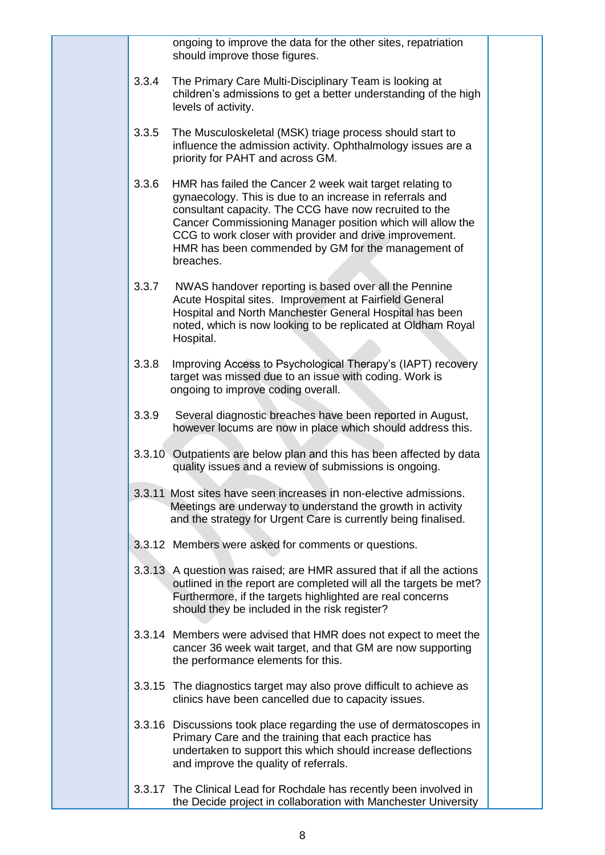|       | ongoing to improve the data for the other sites, repatriation<br>should improve those figures.                                                                                                                                                                                                                                                                             |  |
|-------|----------------------------------------------------------------------------------------------------------------------------------------------------------------------------------------------------------------------------------------------------------------------------------------------------------------------------------------------------------------------------|--|
| 3.3.4 | The Primary Care Multi-Disciplinary Team is looking at<br>children's admissions to get a better understanding of the high<br>levels of activity.                                                                                                                                                                                                                           |  |
| 3.3.5 | The Musculoskeletal (MSK) triage process should start to<br>influence the admission activity. Ophthalmology issues are a<br>priority for PAHT and across GM.                                                                                                                                                                                                               |  |
| 3.3.6 | HMR has failed the Cancer 2 week wait target relating to<br>gynaecology. This is due to an increase in referrals and<br>consultant capacity. The CCG have now recruited to the<br>Cancer Commissioning Manager position which will allow the<br>CCG to work closer with provider and drive improvement.<br>HMR has been commended by GM for the management of<br>breaches. |  |
| 3.3.7 | NWAS handover reporting is based over all the Pennine<br>Acute Hospital sites. Improvement at Fairfield General<br>Hospital and North Manchester General Hospital has been<br>noted, which is now looking to be replicated at Oldham Royal<br>Hospital.                                                                                                                    |  |
| 3.3.8 | Improving Access to Psychological Therapy's (IAPT) recovery<br>target was missed due to an issue with coding. Work is<br>ongoing to improve coding overall.                                                                                                                                                                                                                |  |
| 3.3.9 | Several diagnostic breaches have been reported in August,<br>however locums are now in place which should address this.                                                                                                                                                                                                                                                    |  |
|       | 3.3.10 Outpatients are below plan and this has been affected by data<br>quality issues and a review of submissions is ongoing.                                                                                                                                                                                                                                             |  |
|       | 3.3.11 Most sites have seen increases in non-elective admissions.<br>Meetings are underway to understand the growth in activity<br>and the strategy for Urgent Care is currently being finalised.                                                                                                                                                                          |  |
|       | 3.3.12 Members were asked for comments or questions.                                                                                                                                                                                                                                                                                                                       |  |
|       | 3.3.13 A question was raised; are HMR assured that if all the actions<br>outlined in the report are completed will all the targets be met?<br>Furthermore, if the targets highlighted are real concerns<br>should they be included in the risk register?                                                                                                                   |  |
|       | 3.3.14 Members were advised that HMR does not expect to meet the<br>cancer 36 week wait target, and that GM are now supporting<br>the performance elements for this.                                                                                                                                                                                                       |  |
|       | 3.3.15 The diagnostics target may also prove difficult to achieve as<br>clinics have been cancelled due to capacity issues.                                                                                                                                                                                                                                                |  |
|       | 3.3.16 Discussions took place regarding the use of dermatoscopes in<br>Primary Care and the training that each practice has<br>undertaken to support this which should increase deflections<br>and improve the quality of referrals.                                                                                                                                       |  |
|       | 3.3.17 The Clinical Lead for Rochdale has recently been involved in<br>the Decide project in collaboration with Manchester University                                                                                                                                                                                                                                      |  |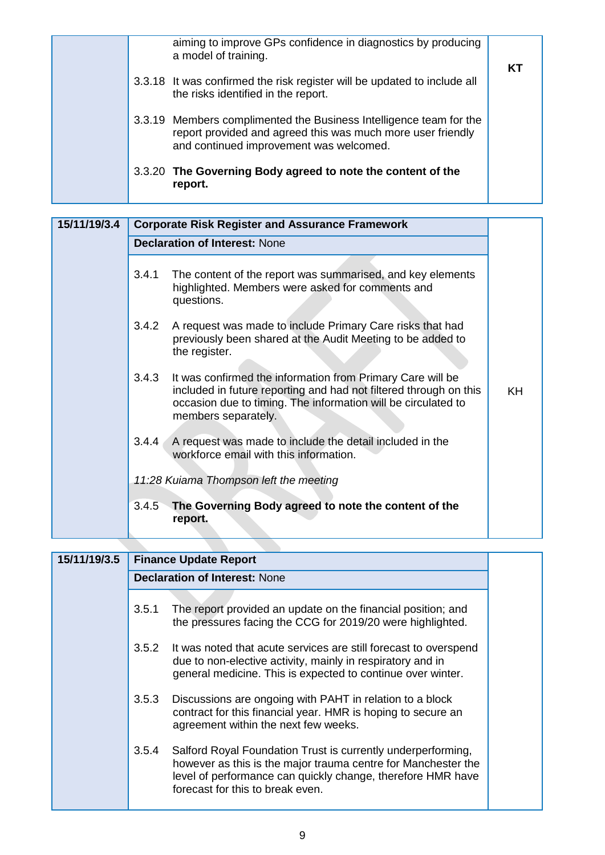| a model of training.                                                   | aiming to improve GPs confidence in diagnostics by producing<br>КT                                                                |
|------------------------------------------------------------------------|-----------------------------------------------------------------------------------------------------------------------------------|
| the risks identified in the report.                                    | 3.3.18 It was confirmed the risk register will be updated to include all                                                          |
| and continued improvement was welcomed.                                | 3.3.19 Members complimented the Business Intelligence team for the<br>report provided and agreed this was much more user friendly |
| 3.3.20 The Governing Body agreed to note the content of the<br>report. |                                                                                                                                   |

| 15/11/19/3.4 | <b>Corporate Risk Register and Assurance Framework</b>                                                                                                                                                                           |           |  |
|--------------|----------------------------------------------------------------------------------------------------------------------------------------------------------------------------------------------------------------------------------|-----------|--|
|              | <b>Declaration of Interest: None</b>                                                                                                                                                                                             |           |  |
|              | 3.4.1<br>The content of the report was summarised, and key elements<br>highlighted. Members were asked for comments and<br>questions.                                                                                            |           |  |
|              | 3.4.2<br>A request was made to include Primary Care risks that had<br>previously been shared at the Audit Meeting to be added to<br>the register.                                                                                |           |  |
|              | 3.4.3<br>It was confirmed the information from Primary Care will be<br>included in future reporting and had not filtered through on this<br>occasion due to timing. The information will be circulated to<br>members separately. | <b>KH</b> |  |
|              | A request was made to include the detail included in the<br>3.4.4<br>workforce email with this information.                                                                                                                      |           |  |
|              | 11:28 Kuiama Thompson left the meeting                                                                                                                                                                                           |           |  |
|              | The Governing Body agreed to note the content of the<br>3.4.5<br>report.                                                                                                                                                         |           |  |

| 15/11/19/3.5 |                                      | <b>Finance Update Report</b>                                                                                                                                                                                                     |  |
|--------------|--------------------------------------|----------------------------------------------------------------------------------------------------------------------------------------------------------------------------------------------------------------------------------|--|
|              | <b>Declaration of Interest: None</b> |                                                                                                                                                                                                                                  |  |
|              | 3.5.1                                | The report provided an update on the financial position; and<br>the pressures facing the CCG for 2019/20 were highlighted.                                                                                                       |  |
|              | 3.5.2                                | It was noted that acute services are still forecast to overspend<br>due to non-elective activity, mainly in respiratory and in<br>general medicine. This is expected to continue over winter.                                    |  |
|              | 3.5.3                                | Discussions are ongoing with PAHT in relation to a block<br>contract for this financial year. HMR is hoping to secure an<br>agreement within the next few weeks.                                                                 |  |
|              | 3.5.4                                | Salford Royal Foundation Trust is currently underperforming,<br>however as this is the major trauma centre for Manchester the<br>level of performance can quickly change, therefore HMR have<br>forecast for this to break even. |  |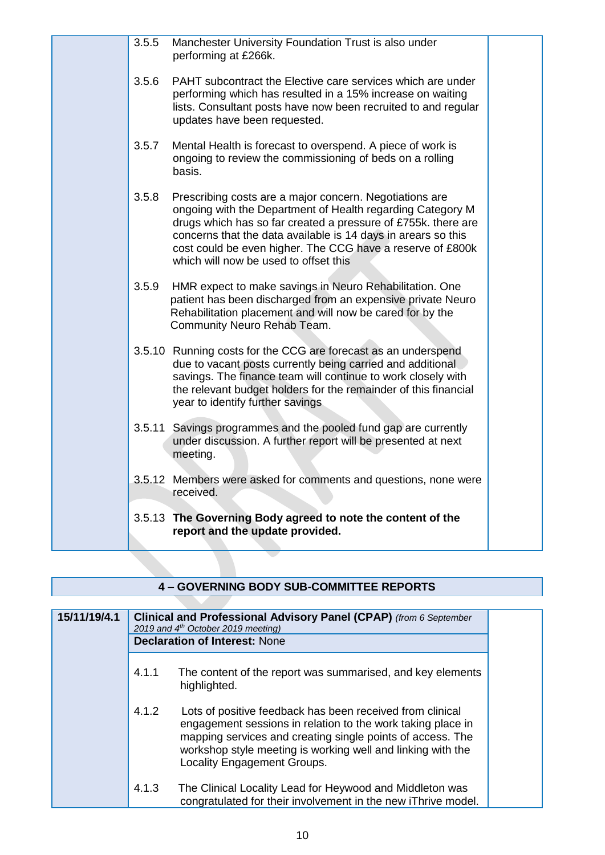| 3.5.5 | Manchester University Foundation Trust is also under<br>performing at £266k.                                                                                                                                                                                                                                                                                   |  |
|-------|----------------------------------------------------------------------------------------------------------------------------------------------------------------------------------------------------------------------------------------------------------------------------------------------------------------------------------------------------------------|--|
| 3.5.6 | PAHT subcontract the Elective care services which are under<br>performing which has resulted in a 15% increase on waiting<br>lists. Consultant posts have now been recruited to and regular<br>updates have been requested.                                                                                                                                    |  |
| 3.5.7 | Mental Health is forecast to overspend. A piece of work is<br>ongoing to review the commissioning of beds on a rolling<br>basis.                                                                                                                                                                                                                               |  |
| 3.5.8 | Prescribing costs are a major concern. Negotiations are<br>ongoing with the Department of Health regarding Category M<br>drugs which has so far created a pressure of £755k. there are<br>concerns that the data available is 14 days in arears so this<br>cost could be even higher. The CCG have a reserve of £800k<br>which will now be used to offset this |  |
| 3.5.9 | HMR expect to make savings in Neuro Rehabilitation. One<br>patient has been discharged from an expensive private Neuro<br>Rehabilitation placement and will now be cared for by the<br>Community Neuro Rehab Team.                                                                                                                                             |  |
|       | 3.5.10 Running costs for the CCG are forecast as an underspend<br>due to vacant posts currently being carried and additional<br>savings. The finance team will continue to work closely with<br>the relevant budget holders for the remainder of this financial<br>year to identify further savings                                                            |  |
|       | 3.5.11 Savings programmes and the pooled fund gap are currently<br>under discussion. A further report will be presented at next<br>meeting.                                                                                                                                                                                                                    |  |
|       | 3.5.12 Members were asked for comments and questions, none were<br>received.                                                                                                                                                                                                                                                                                   |  |
|       | 3.5.13 The Governing Body agreed to note the content of the<br>report and the update provided.                                                                                                                                                                                                                                                                 |  |
|       |                                                                                                                                                                                                                                                                                                                                                                |  |

# **4 – GOVERNING BODY SUB-COMMITTEE REPORTS**

| 15/11/19/4.1 |       | Clinical and Professional Advisory Panel (CPAP) (from 6 September<br>2019 and 4 <sup>th</sup> October 2019 meeting)                                                                                                                                                                  |  |
|--------------|-------|--------------------------------------------------------------------------------------------------------------------------------------------------------------------------------------------------------------------------------------------------------------------------------------|--|
|              |       | <b>Declaration of Interest: None</b>                                                                                                                                                                                                                                                 |  |
|              | 4.1.1 | The content of the report was summarised, and key elements<br>highlighted.                                                                                                                                                                                                           |  |
|              | 4.1.2 | Lots of positive feedback has been received from clinical<br>engagement sessions in relation to the work taking place in<br>mapping services and creating single points of access. The<br>workshop style meeting is working well and linking with the<br>Locality Engagement Groups. |  |
|              | 4.1.3 | The Clinical Locality Lead for Heywood and Middleton was<br>congratulated for their involvement in the new iThrive model.                                                                                                                                                            |  |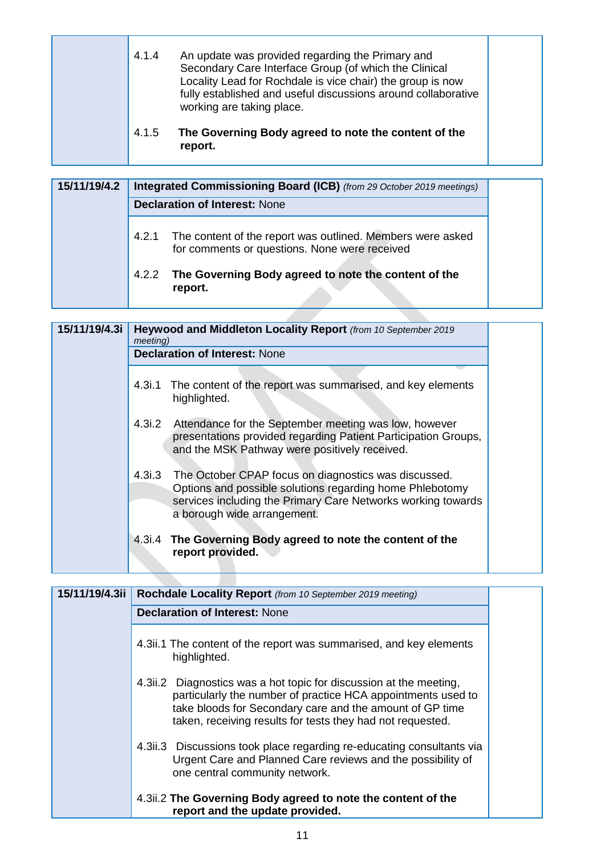|  | 4.1.4 | An update was provided regarding the Primary and<br>Secondary Care Interface Group (of which the Clinical<br>Locality Lead for Rochdale is vice chair) the group is now<br>fully established and useful discussions around collaborative<br>working are taking place. |  |
|--|-------|-----------------------------------------------------------------------------------------------------------------------------------------------------------------------------------------------------------------------------------------------------------------------|--|
|  | 4.1.5 | The Governing Body agreed to note the content of the<br>report.                                                                                                                                                                                                       |  |

| 15/11/19/4.2 | Integrated Commissioning Board (ICB) (from 29 October 2019 meetings)                                              |
|--------------|-------------------------------------------------------------------------------------------------------------------|
|              | <b>Declaration of Interest: None</b>                                                                              |
|              | 4.2.1 The content of the report was outlined. Members were asked<br>for comments or questions. None were received |
|              | The Governing Body agreed to note the content of the<br>4.2.2<br>report.                                          |

| 15/11/19/4.3i | <i>meeting</i> ) | Heywood and Middleton Locality Report (from 10 September 2019<br><b>Declaration of Interest: None</b>                                                                                                           |
|---------------|------------------|-----------------------------------------------------------------------------------------------------------------------------------------------------------------------------------------------------------------|
|               |                  | 4.3i.1 The content of the report was summarised, and key elements<br>highlighted.                                                                                                                               |
|               |                  | 4.3i.2 Attendance for the September meeting was low, however<br>presentations provided regarding Patient Participation Groups,<br>and the MSK Pathway were positively received.                                 |
|               | 4.3i.3           | The October CPAP focus on diagnostics was discussed.<br>Options and possible solutions regarding home Phlebotomy<br>services including the Primary Care Networks working towards<br>a borough wide arrangement. |
|               |                  | 4.3i.4 The Governing Body agreed to note the content of the<br>report provided.                                                                                                                                 |

| 15/11/19/4.3ii | Rochdale Locality Report (from 10 September 2019 meeting)                                                                                                                                                                                                    |  |
|----------------|--------------------------------------------------------------------------------------------------------------------------------------------------------------------------------------------------------------------------------------------------------------|--|
|                | <b>Declaration of Interest: None</b>                                                                                                                                                                                                                         |  |
|                | 4.3ii.1 The content of the report was summarised, and key elements<br>highlighted.                                                                                                                                                                           |  |
|                | 4.3ii.2 Diagnostics was a hot topic for discussion at the meeting,<br>particularly the number of practice HCA appointments used to<br>take bloods for Secondary care and the amount of GP time<br>taken, receiving results for tests they had not requested. |  |
|                | 4.3ii.3 Discussions took place regarding re-educating consultants via<br>Urgent Care and Planned Care reviews and the possibility of<br>one central community network.                                                                                       |  |
|                | 4.3ii.2 The Governing Body agreed to note the content of the<br>report and the update provided.                                                                                                                                                              |  |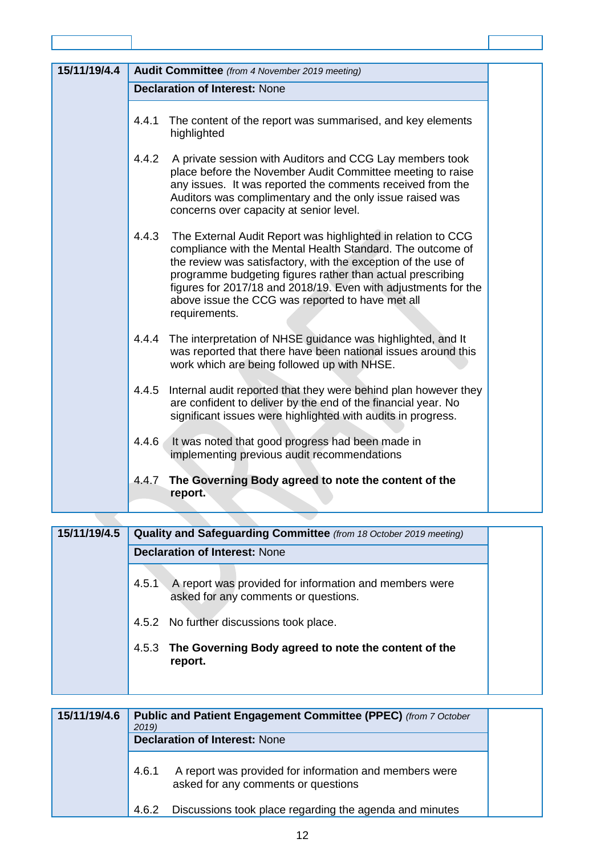| 15/11/19/4.4 | <b>Audit Committee</b> (from 4 November 2019 meeting)                                                                                                                                                                                                                                                                                                                                                     |  |  |
|--------------|-----------------------------------------------------------------------------------------------------------------------------------------------------------------------------------------------------------------------------------------------------------------------------------------------------------------------------------------------------------------------------------------------------------|--|--|
|              | <b>Declaration of Interest: None</b>                                                                                                                                                                                                                                                                                                                                                                      |  |  |
|              | 4.4.1<br>The content of the report was summarised, and key elements<br>highlighted                                                                                                                                                                                                                                                                                                                        |  |  |
|              | 4.4.2<br>A private session with Auditors and CCG Lay members took<br>place before the November Audit Committee meeting to raise<br>any issues. It was reported the comments received from the<br>Auditors was complimentary and the only issue raised was<br>concerns over capacity at senior level.                                                                                                      |  |  |
|              | 4.4.3<br>The External Audit Report was highlighted in relation to CCG<br>compliance with the Mental Health Standard. The outcome of<br>the review was satisfactory, with the exception of the use of<br>programme budgeting figures rather than actual prescribing<br>figures for 2017/18 and 2018/19. Even with adjustments for the<br>above issue the CCG was reported to have met all<br>requirements. |  |  |
|              | The interpretation of NHSE guidance was highlighted, and It<br>4.4.4<br>was reported that there have been national issues around this<br>work which are being followed up with NHSE.                                                                                                                                                                                                                      |  |  |
|              | 4.4.5<br>Internal audit reported that they were behind plan however they<br>are confident to deliver by the end of the financial year. No<br>significant issues were highlighted with audits in progress.                                                                                                                                                                                                 |  |  |
|              | It was noted that good progress had been made in<br>4.4.6<br>implementing previous audit recommendations                                                                                                                                                                                                                                                                                                  |  |  |
|              | 4.4.7<br>The Governing Body agreed to note the content of the<br>report.                                                                                                                                                                                                                                                                                                                                  |  |  |

| 15/11/19/4.5 | Quality and Safeguarding Committee (from 18 October 2019 meeting)                                       |  |
|--------------|---------------------------------------------------------------------------------------------------------|--|
|              | <b>Declaration of Interest: None</b>                                                                    |  |
|              | A report was provided for information and members were<br>4.5.1<br>asked for any comments or questions. |  |
|              | 4.5.2 No further discussions took place.                                                                |  |
|              | 4.5.3 The Governing Body agreed to note the content of the<br>report.                                   |  |

| 15/11/19/4.6 | <b>Public and Patient Engagement Committee (PPEC)</b> (from 7 October<br>2019)<br><b>Declaration of Interest: None</b> |                                                                                               |  |
|--------------|------------------------------------------------------------------------------------------------------------------------|-----------------------------------------------------------------------------------------------|--|
|              | 4.6.1                                                                                                                  | A report was provided for information and members were<br>asked for any comments or questions |  |
|              | 4.6.2                                                                                                                  | Discussions took place regarding the agenda and minutes                                       |  |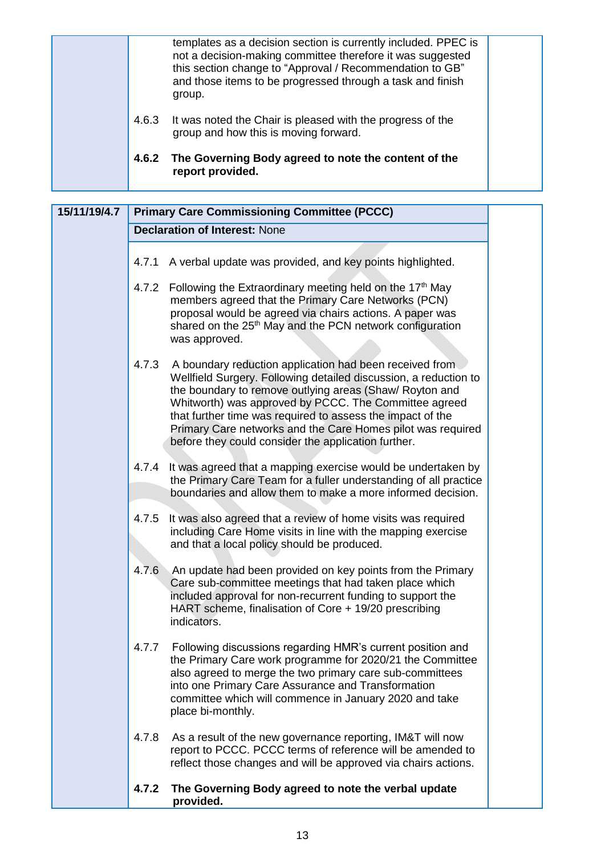|       | templates as a decision section is currently included. PPEC is<br>not a decision-making committee therefore it was suggested<br>this section change to "Approval / Recommendation to GB"<br>and those items to be progressed through a task and finish<br>group. |  |
|-------|------------------------------------------------------------------------------------------------------------------------------------------------------------------------------------------------------------------------------------------------------------------|--|
| 4.6.3 | It was noted the Chair is pleased with the progress of the<br>group and how this is moving forward.                                                                                                                                                              |  |
| 4.6.2 | The Governing Body agreed to note the content of the<br>report provided.                                                                                                                                                                                         |  |

| 15/11/19/4.7 |       | <b>Primary Care Commissioning Committee (PCCC)</b>                                                                                                                                                                                                                                                                                                                                                                                  |
|--------------|-------|-------------------------------------------------------------------------------------------------------------------------------------------------------------------------------------------------------------------------------------------------------------------------------------------------------------------------------------------------------------------------------------------------------------------------------------|
|              |       | <b>Declaration of Interest: None</b>                                                                                                                                                                                                                                                                                                                                                                                                |
|              |       | 4.7.1 A verbal update was provided, and key points highlighted.                                                                                                                                                                                                                                                                                                                                                                     |
|              |       | 4.7.2 Following the Extraordinary meeting held on the 17 <sup>th</sup> May<br>members agreed that the Primary Care Networks (PCN)<br>proposal would be agreed via chairs actions. A paper was<br>shared on the 25 <sup>th</sup> May and the PCN network configuration<br>was approved.                                                                                                                                              |
|              | 4.7.3 | A boundary reduction application had been received from<br>Wellfield Surgery. Following detailed discussion, a reduction to<br>the boundary to remove outlying areas (Shaw/ Royton and<br>Whitworth) was approved by PCCC. The Committee agreed<br>that further time was required to assess the impact of the<br>Primary Care networks and the Care Homes pilot was required<br>before they could consider the application further. |
|              | 4.7.4 | It was agreed that a mapping exercise would be undertaken by<br>the Primary Care Team for a fuller understanding of all practice<br>boundaries and allow them to make a more informed decision.                                                                                                                                                                                                                                     |
|              | 4.7.5 | It was also agreed that a review of home visits was required<br>including Care Home visits in line with the mapping exercise<br>and that a local policy should be produced.                                                                                                                                                                                                                                                         |
|              | 4.7.6 | An update had been provided on key points from the Primary<br>Care sub-committee meetings that had taken place which<br>included approval for non-recurrent funding to support the<br>HART scheme, finalisation of Core + 19/20 prescribing<br>indicators.                                                                                                                                                                          |
|              | 4.7.7 | Following discussions regarding HMR's current position and<br>the Primary Care work programme for 2020/21 the Committee<br>also agreed to merge the two primary care sub-committees<br>into one Primary Care Assurance and Transformation<br>committee which will commence in January 2020 and take<br>place bi-monthly.                                                                                                            |
|              | 4.7.8 | As a result of the new governance reporting, IM&T will now<br>report to PCCC. PCCC terms of reference will be amended to<br>reflect those changes and will be approved via chairs actions.                                                                                                                                                                                                                                          |
|              | 4.7.2 | The Governing Body agreed to note the verbal update<br>provided.                                                                                                                                                                                                                                                                                                                                                                    |